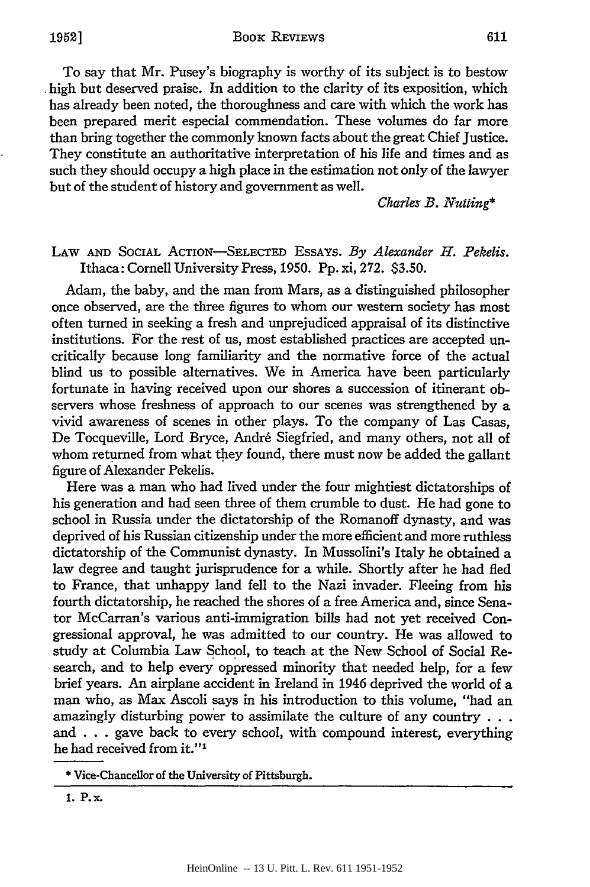To say that Mr. Pusey's biography is worthy of its subject is to bestow high but deserved praise. In addition to the clarity of its exposition, which has already been noted, the thoroughness and care with which the work has been prepared merit especial commendation. These volumes do far more than bring together the commonly known facts about the great Chief Justice. They constitute an authoritative interpretation of his life and times and as such they should occupy a high place in the estimation not only of the lawyer but of the student of history and government as well.

Charles *B. Nutting\**

## LAW **AND** SociAL ACTION-SELECTED ESSAYS. *By Alexander H. Pekelis.* Ithaca: Cornell University Press, 1950. **Pp.** xi, 272. **\$3.50.**

Adam, the baby, and the man from Mars, as a distinguished philosopher once observed, are the three figures to whom our western society has most often turned in seeking a fresh and unprejudiced appraisal of its distinctive institutions. For the rest of us, most established practices are accepted uncritically because long familiarity and the normative force of the actual blind us to possible alternatives. We in America have been particularly fortunate in having received upon our shores a succession of itinerant observers whose freshness of approach to our scenes was strengthened **by** a vivid awareness of scenes in other plays. To the company of Las Casas, De Tocqueville, Lord Bryce, Andr6 Siegfried, and many others, not all of whom returned from what they found, there must now be added the gallant figure of Alexander Pekelis.

Here was a man who had lived under the four mightiest dictatorships of his generation and had seen three of them crumble to dust. He had gone to school in Russia under the dictatorship of the Romanoff dynasty, and was deprived of his Russian citizenship under the more efficient and more ruthless dictatorship of the Communist dynasty. In Mussolini's Italy he obtained a law degree and taught jurisprudence for a while. Shortly after he had fled to France, that unhappy land fell to the Nazi invader. Fleeing from his fourth dictatorship, he reached the shores of a free America and, since Senator McCarran's various anti-immigration bills had not yet received Congressional approval, he was admitted to our country. He was allowed to study at Columbia Law School, to teach at the New School of Social Research, and to help every oppressed minority that needed help, for a few brief years. An airplane accident in Ireland in 1946 deprived the world of a man who, as Max Ascoli says in his introduction to this volume, "had an amazingly disturbing power to assimilate the culture of any country **. . .** and **. . .**gave back to every school, with compound interest, everything he had received from it."<sup>1</sup>

<sup>\*</sup> Vice-Chancellor of the University of Pittsburgh.

**<sup>1.</sup> P.x.**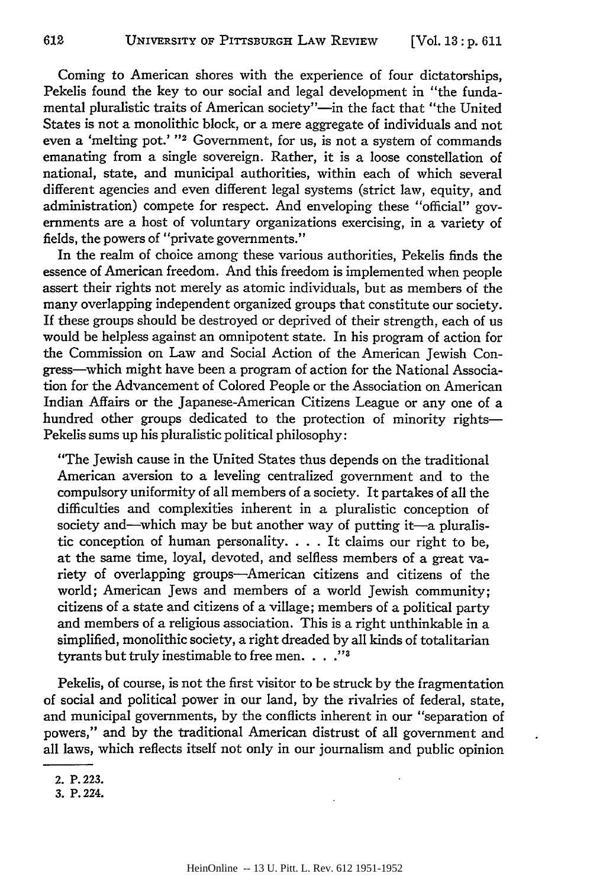Coming to American shores with the experience of four dictatorships, Pekelis found the key to our social and legal development in "the fundamental pluralistic traits of American society"-in the fact that "the United States is not a monolithic block, or a mere aggregate of individuals and not even a 'melting pot.' **" ' <sup>2</sup>**Government, for us, is not a system of commands emanating from a single sovereign. Rather, it is a loose constellation of national, state, and municipal authorities, within each of which several different agencies and even different legal systems (strict law, equity, and administration) compete for respect. And enveloping these "official" governments are a host of voluntary organizations exercising, in a variety of fields, the powers of "private governments."

In the realm of choice among these various authorities, Pekelis finds the essence of American freedom. And this freedom is implemented when people assert their rights not merely as atomic individuals, but as members of the many overlapping independent organized groups that constitute our society. If these groups should be destroyed or deprived of their strength, each of us would be helpless against an omnipotent state. In his program of action for the Commission on Law and Social Action of the American Jewish Congress-which might have been a program of action for the National Association for the Advancement of Colored People or the Association on American Indian Affairs or the Japanese-American Citizens League or any one of a hundred other groups dedicated to the protection of minority rights-Pekelis sums up his pluralistic political philosophy:

"The Jewish cause in the United States thus depends on the traditional American aversion to a leveling centralized government and to the compulsory uniformity of all members of a society. It partakes of all the difficulties and complexities inherent in a pluralistic conception of society and—which may be but another way of putting it—a pluralistic conception of human personality. . **.** . It claims our right to be, at the same time, loyal, devoted, and selfless members of a great variety of overlapping groups-American citizens and citizens of the world; American Jews and members of a world Jewish community; citizens of a state and citizens of a village; members of a political party and members of a religious association. This is a right unthinkable in a simplified, monolithic society, a right dreaded **by** all kinds of totalitarian tyrants but truly inestimable to free men. . . . "<sup>3</sup>

Pekelis, of course, is not the first visitor to be struck **by** the fragmentation of social and political power in our land, **by** the rivalries of federal, state, and municipal governments, **by** the conflicts inherent in our "separation of powers," and **by** the traditional American distrust of all government and all laws, which reflects itself not only in our journalism and public opinion

**<sup>2.</sup> P. 223.**

**<sup>3.</sup> P. 224.**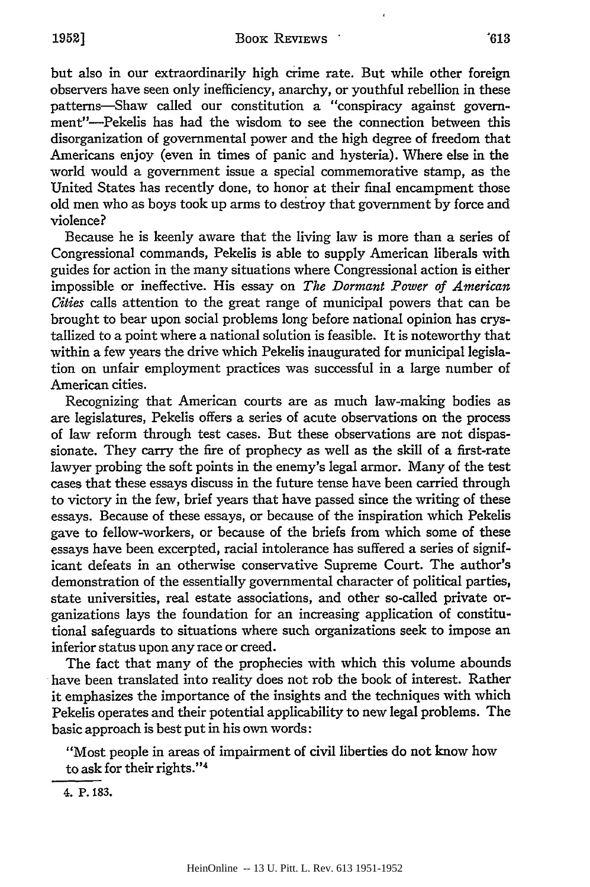but also in our extraordinarily high crime rate. But while other foreign observers have seen only inefficiency, anarchy, or youthful rebellion in these patterns-Shaw called our constitution a "conspiracy against government"-Pekelis has had the wisdom to see the connection between this disorganization of governmental power and the high degree of freedom that Americans enjoy (even in times of panic and hysteria). Where else in the world would a government issue a special commemorative stamp, as the United States has recently done, to honor at their final encampment those old men who as boys took up arms to destroy that government by force and violence?

Because he is keenly aware that the living law is more than a series of Congressional commands, Pekelis is able to supply American liberals with guides for action in the many situations where Congressional action is either impossible or ineffective. His essay on *The Dormant Power of American Cities* calls attention to the great range of municipal powers that can be brought to bear upon social problems long before national opinion has crystallized to a point where a national solution is feasible. It is noteworthy that within a few years the drive which Pekelis inaugurated for municipal legislation on unfair employment practices was successful in a large number of American cities.

Recognizing that American courts are as much law-making bodies as are legislatures, Pekelis offers a series of acute observations on the process of law reform through test cases. But these observations are not dispassionate. They carry the fire of prophecy as well as the skill of a first-rate lawyer probing the soft points in the enemy's legal armor. Many of the test cases that these essays discuss in the future tense have been carried through to victory in the few, brief years that have passed since the writing of these essays. Because of these essays, or because of the inspiration which Pekelis gave to fellow-workers, or because of the briefs from which some of these essays have been excerpted, racial intolerance has suffered a series of significant defeats in an otherwise conservative Supreme Court. The author's demonstration of the essentially governmental character of political parties, state universities, real estate associations, and other so-called private organizations lays the foundation for an increasing application of constitutional safeguards to situations where such organizations seek to impose an inferior status upon any race or creed.

The fact that many of the prophecies with which this volume abounds have been translated into reality does not rob the book of interest. Rather it emphasizes the importance of the insights and the techniques with which Pekelis operates and their potential applicability to new legal problems. The basic approach is best put in his own words:

"Most people in areas of impairment of civil liberties do not know how to ask for their rights."4

**4. P. 183.**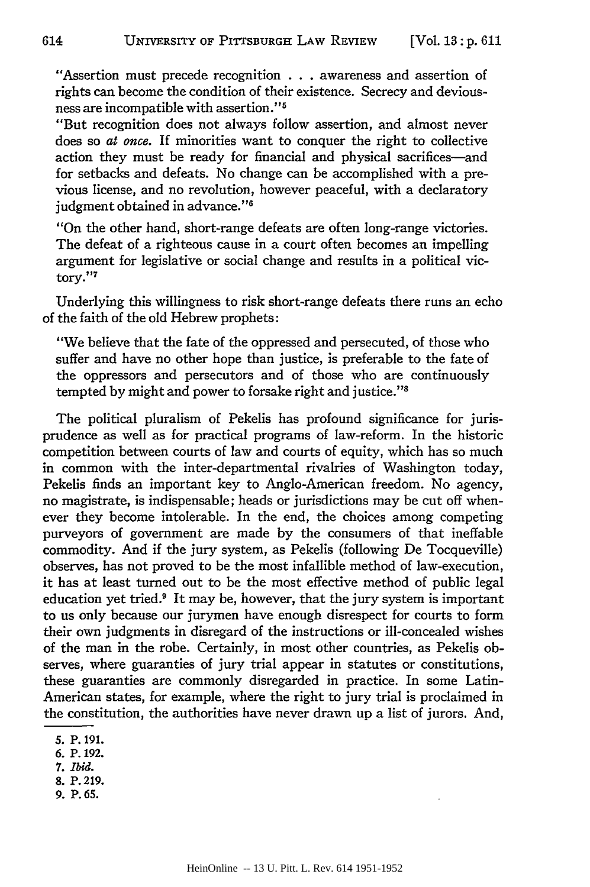"Assertion must precede recognition **.** . . awareness and assertion of rights can become the condition of their existence. Secrecy and deviousness are incompatible with assertion." <sup>5</sup>

"But recognition does not always follow assertion, and almost never does so *at once.* If minorities want to conquer the right to collective action they must be ready for financial and physical sacrifices-and for setbacks and defeats. No change can be accomplished with a previous license, and no revolution, however peaceful, with a declaratory judgment obtained in advance."<sup>6</sup>

"On the other hand, short-range defeats are often long-range victories. The defeat of a righteous cause in a court often becomes an impelling argument for legislative or social change and results in a political victory." 7

Underlying this willingness to risk short-range defeats there runs an echo of the faith of the old Hebrew prophets:

"We believe that the fate of the oppressed and persecuted, of those who suffer and have no other hope than justice, is preferable to the fate of the oppressors and persecutors and of those who are continuously tempted by might and power to forsake right and justice."'

The political pluralism of Pekelis has profound significance for jurisprudence as well as for practical programs of law-reform. In the historic competition between courts of law and courts of equity, which has so much in common with the inter-departmental rivalries of Washington today, Pekelis finds an important key to Anglo-American freedom. No agency, no magistrate, is indispensable; heads or jurisdictions may be cut off whenever they become intolerable. In the end, the choices among competing purveyors of government are made by the consumers of that ineffable commodity. And if the jury system, as Pekelis (following De Tocqueville) observes, has not proved to be the most infallible method of law-execution, it has at least turned out to be the most effective method of public legal education yet tried.' It may be, however, that the jury system is important to us only because our jurymen have enough disrespect for courts to form their own judgments in disregard of the instructions or ill-concealed wishes of the man in the robe. Certainly, in most other countries, as Pekelis observes, where guaranties of jury trial appear in statutes or constitutions, these guaranties are commonly disregarded in practice. In some Latin-American states, for example, where the right to jury trial is proclaimed in the constitution, the authorities have never drawn up a list of jurors. And,

**7.** *Ibid.*

**9. P.65.**

**<sup>5.</sup>** P. **191.**

**<sup>6.</sup>** P. **192.**

**<sup>8.</sup> P. 219.**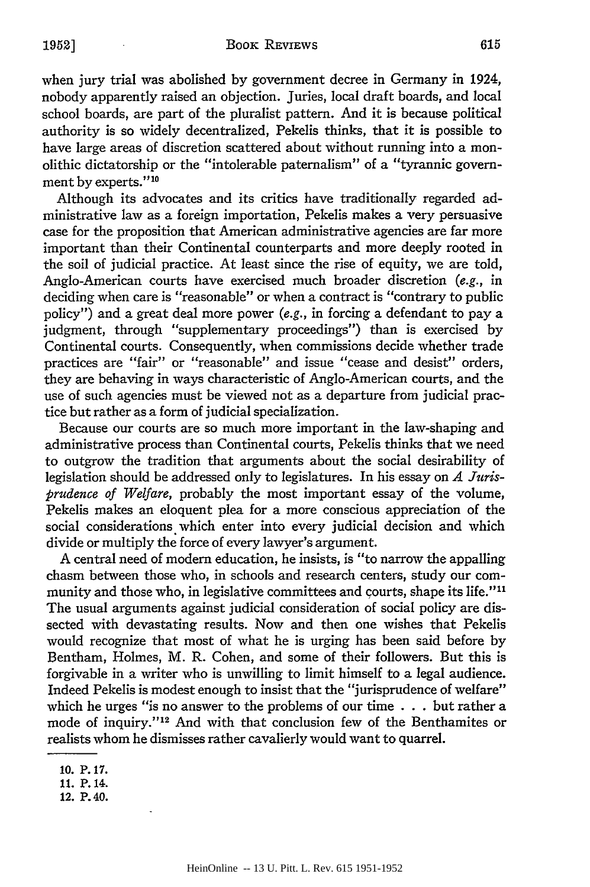when jury trial was abolished by government decree in Germany in 1924, nobody apparently raised an objection. Juries, local draft boards, and local school boards, are part of the pluralist pattern. And it is because political authority is so widely decentralized, Pekelis thinks, that it is possible to have large areas of discretion scattered about without running into a monolithic dictatorship or the "intolerable paternalism" of a "tyrannic government by experts."<sup>10</sup>

Although its advocates and its critics have traditionally regarded administrative law as a foreign importation, Pekelis makes a very persuasive case for the proposition that American administrative agencies are far more important than their Continental counterparts and more deeply rooted in the soil of judicial practice. At least since the rise of equity, we are told, Anglo-American courts have exercised much broader discretion (e.g., in deciding when care is "reasonable" or when a contract is "contrary to public policy") and a great deal more power (e.g., in forcing a defendant to pay a judgment, through "supplementary proceedings") than is exercised by Continental courts. Consequently, when commissions decide whether trade practices are "fair" or "reasonable" and issue "cease and desist" orders, they are behaving in ways characteristic of Anglo-American courts, and the use of such agencies must be viewed not as a departure from judicial practice but rather as a form of judicial specialization.

Because our courts are so much more important in the law-shaping and administrative process than Continental courts, Pekelis thinks that we need to outgrow the tradition that arguments about the social desirability of legislation should be addressed only to legislatures. In his essay on *A Jurisprudence of Welfare,* probably the most important essay of the volume, Pekelis makes an eloquent plea for a more conscious appreciation of the social considerations which enter into every judicial decision and which divide or multiply the force of every lawyer's argument.

A central need of modern education, he insists, is "to narrow the appalling chasm between those who, in schools and research centers, study our community and those who, in legislative committees and courts, shape its life."<sup>11</sup> The usual arguments against judicial consideration of social policy are dissected with devastating results. Now and then one wishes that Pekelis would recognize that most of what he is urging has been said before by Bentham, Holmes, M. R. Cohen, and some of their followers. But this is forgivable in a writer who is unwilling to limit himself to a legal audience. Indeed Pekelis is modest enough to insist that the "jurisprudence of welfare" which he urges "is no answer to the problems of our time  $\ldots$  but rather a mode of inquiry."<sup>12</sup> And with that conclusion few of the Benthamites or realists whom he dismisses rather cavalierly would want to quarrel.

<sup>10.</sup> P. 17. 11. P. 14.

<sup>12.</sup> P. 40.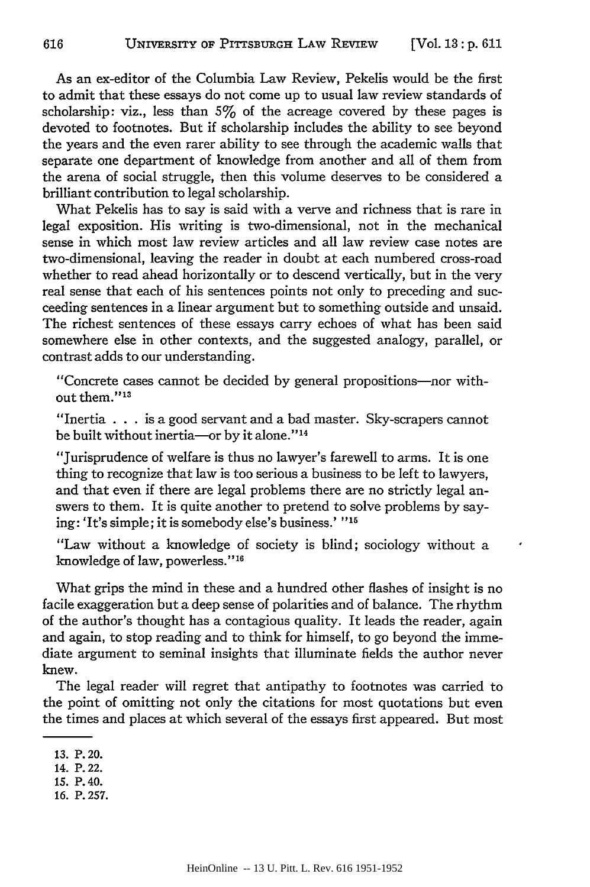As an ex-editor of the Columbia Law Review, Pekelis would be the first to admit that these essays do not come up to usual law review standards of scholarship: viz., less than **5%** of the acreage covered by these pages is devoted to footnotes. But if scholarship includes the ability to see beyond the years and the even rarer ability to see through the academic walls that separate one department of knowledge from another and all of them from the arena of social struggle, then this volume deserves to be considered a brilliant contribution to legal scholarship.

What Pekelis has to say is said with a verve and richness that is rare in legal exposition. His writing is two-dimensional, not in the mechanical sense in which most law review articles and all law review case notes are two-dimensional, leaving the reader in doubt at each numbered cross-road whether to read ahead horizontally or to descend vertically, but in the very real sense that each of his sentences points not only to preceding and succeeding sentences in a linear argument but to something outside and unsaid. The richest sentences of these essays carry echoes of what has been said somewhere else in other contexts, and the suggested analogy, parallel, or contrast adds to our understanding.

"Concrete cases cannot be decided by general propositions-nor without them."<sup>13</sup>

"Inertia . . . is a good servant and a bad master. Sky-scrapers cannot be built without inertia-or by it alone."<sup>14</sup>

"Jurisprudence of welfare is thus no lawyer's farewell to arms. It is one thing to recognize that law is too serious a business to be left to lawyers, and that even if there are legal problems there are no strictly legal answers to them. It is quite another to pretend to solve problems by saying: 'It's simple; it is somebody else's business.' **"16**

"Law without a knowledge of society is blind; sociology without a knowledge of law, powerless."<sup>16</sup>

What grips the mind in these and a hundred other flashes of insight is no facile exaggeration but a deep sense of polarities and of balance. The rhythm of the author's thought has a contagious quality. It leads the reader, again and again, to stop reading and to think for himself, to go beyond the immediate argument to seminal insights that illuminate fields the author never knew.

The legal reader will regret that antipathy to footnotes was carried to the point of omitting not only the citations for most quotations but even the times and places at which several of the essays first appeared. But most

- **15.** P. 40.
- **16.** P. **257.**

**<sup>13.</sup>** P. 20.

<sup>14.</sup> P. 22.